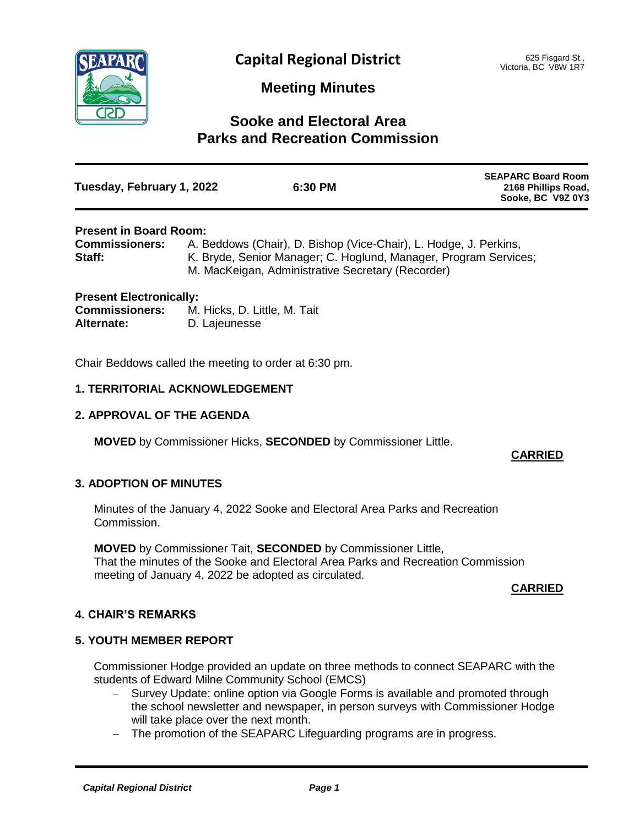

# **Meeting Minutes**

# **Sooke and Electoral Area Parks and Recreation Commission**

| Tuesday, February 1, 2022 | 6:30 PM | <b>SEAPARC Board Room</b><br>2168 Phillips Road,<br>Sooke, BC V9Z 0Y3 |
|---------------------------|---------|-----------------------------------------------------------------------|
|                           |         |                                                                       |

# **Present in Board Room:**

| <b>Commissioners:</b> | A. Beddows (Chair), D. Bishop (Vice-Chair), L. Hodge, J. Perkins, |
|-----------------------|-------------------------------------------------------------------|
| Staff:                | K. Bryde, Senior Manager; C. Hoglund, Manager, Program Services;  |
|                       | M. MacKeigan, Administrative Secretary (Recorder)                 |

| <b>Present Electronically:</b> |                              |
|--------------------------------|------------------------------|
| <b>Commissioners:</b>          | M. Hicks, D. Little, M. Tait |
| Alternate:                     | D. Lajeunesse                |

Chair Beddows called the meeting to order at 6:30 pm.

## **1. TERRITORIAL ACKNOWLEDGEMENT**

# **2. APPROVAL OF THE AGENDA**

**MOVED** by Commissioner Hicks, **SECONDED** by Commissioner Little.

# **CARRIED**

# **3. ADOPTION OF MINUTES**

Minutes of the January 4, 2022 Sooke and Electoral Area Parks and Recreation Commission.

**MOVED** by Commissioner Tait, **SECONDED** by Commissioner Little, That the minutes of the Sooke and Electoral Area Parks and Recreation Commission meeting of January 4, 2022 be adopted as circulated.

## **CARRIED**

# **4. CHAIR'S REMARKS**

# **5. YOUTH MEMBER REPORT**

Commissioner Hodge provided an update on three methods to connect SEAPARC with the students of Edward Milne Community School (EMCS)

- Survey Update: online option via Google Forms is available and promoted through the school newsletter and newspaper, in person surveys with Commissioner Hodge will take place over the next month.
- The promotion of the SEAPARC Lifeguarding programs are in progress.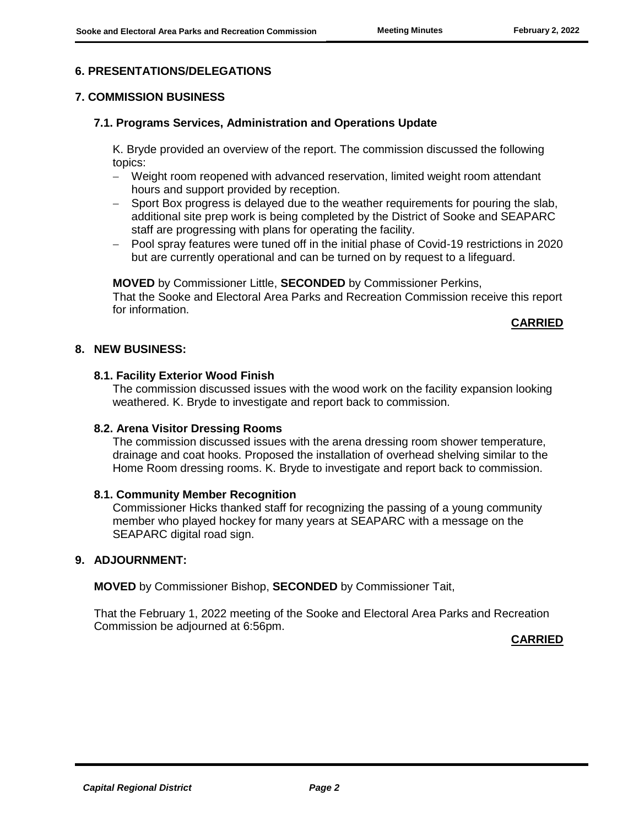## **6. PRESENTATIONS/DELEGATIONS**

## **7. COMMISSION BUSINESS**

## **7.1. Programs Services, Administration and Operations Update**

K. Bryde provided an overview of the report. The commission discussed the following topics:

- Weight room reopened with advanced reservation, limited weight room attendant hours and support provided by reception.
- Sport Box progress is delayed due to the weather requirements for pouring the slab, additional site prep work is being completed by the District of Sooke and SEAPARC staff are progressing with plans for operating the facility.
- Pool spray features were tuned off in the initial phase of Covid-19 restrictions in 2020 but are currently operational and can be turned on by request to a lifeguard.

**MOVED** by Commissioner Little, **SECONDED** by Commissioner Perkins, That the Sooke and Electoral Area Parks and Recreation Commission receive this report for information.

## **CARRIED**

## **8. NEW BUSINESS:**

## **8.1. Facility Exterior Wood Finish**

The commission discussed issues with the wood work on the facility expansion looking weathered. K. Bryde to investigate and report back to commission.

## **8.2. Arena Visitor Dressing Rooms**

The commission discussed issues with the arena dressing room shower temperature, drainage and coat hooks. Proposed the installation of overhead shelving similar to the Home Room dressing rooms. K. Bryde to investigate and report back to commission.

## **8.1. Community Member Recognition**

Commissioner Hicks thanked staff for recognizing the passing of a young community member who played hockey for many years at SEAPARC with a message on the SEAPARC digital road sign.

#### **9. ADJOURNMENT:**

**MOVED** by Commissioner Bishop, **SECONDED** by Commissioner Tait,

That the February 1, 2022 meeting of the Sooke and Electoral Area Parks and Recreation Commission be adjourned at 6:56pm.

**CARRIED**